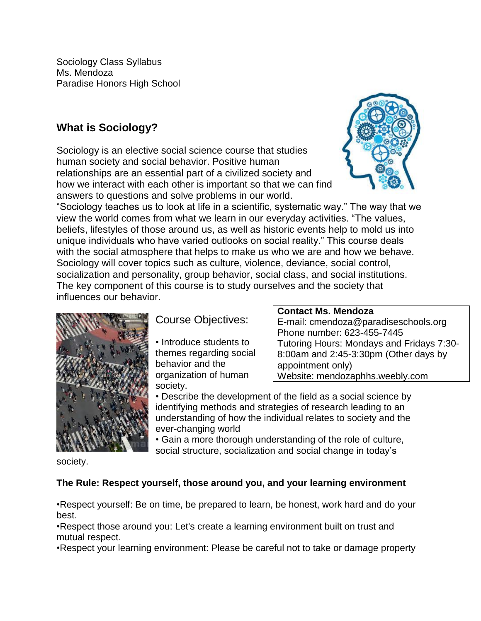Sociology Class Syllabus Ms. Mendoza Paradise Honors High School

# **What is Sociology?**

Sociology is an elective social science course that studies human society and social behavior. Positive human relationships are an essential part of a civilized society and how we interact with each other is important so that we can find answers to questions and solve problems in our world.



"Sociology teaches us to look at life in a scientific, systematic way." The way that we view the world comes from what we learn in our everyday activities. "The values, beliefs, lifestyles of those around us, as well as historic events help to mold us into unique individuals who have varied outlooks on social reality." This course deals with the social atmosphere that helps to make us who we are and how we behave. Sociology will cover topics such as culture, violence, deviance, social control, socialization and personality, group behavior, social class, and social institutions. The key component of this course is to study ourselves and the society that influences our behavior.



# Course Objectives:

• Introduce students to themes regarding social behavior and the organization of human society.

#### **Contact Ms. Mendoza**

E-mail: cmendoza@paradiseschools.org Phone number: 623-455-7445 Tutoring Hours: Mondays and Fridays 7:30- 8:00am and 2:45-3:30pm (Other days by appointment only) Website: mendozaphhs.weebly.com

• Describe the development of the field as a social science by identifying methods and strategies of research leading to an understanding of how the individual relates to society and the ever-changing world

• Gain a more thorough understanding of the role of culture,

social structure, socialization and social change in today's

society.

### **The Rule: Respect yourself, those around you, and your learning environment**

•Respect yourself: Be on time, be prepared to learn, be honest, work hard and do your best.

•Respect those around you: Let's create a learning environment built on trust and mutual respect.

•Respect your learning environment: Please be careful not to take or damage property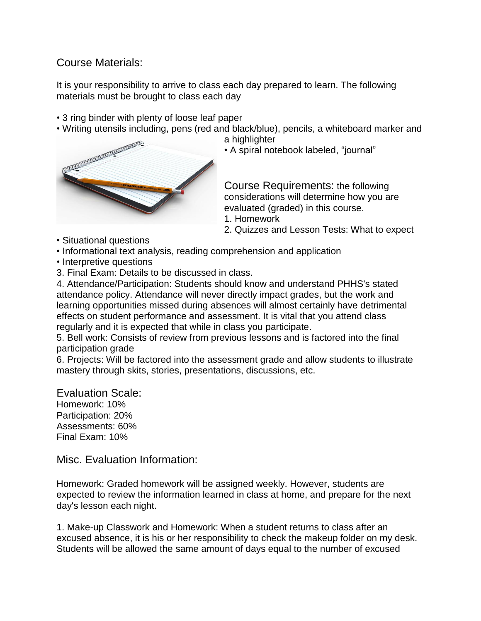## Course Materials:

It is your responsibility to arrive to class each day prepared to learn. The following materials must be brought to class each day

- 3 ring binder with plenty of loose leaf paper
- 

a highlighter



• A spiral notebook labeled, "journal"

Course Requirements: the following considerations will determine how you are evaluated (graded) in this course. 1. Homework

2. Quizzes and Lesson Tests: What to expect

- Situational questions
- Informational text analysis, reading comprehension and application
- Interpretive questions
- 3. Final Exam: Details to be discussed in class.

4. Attendance/Participation: Students should know and understand PHHS's stated attendance policy. Attendance will never directly impact grades, but the work and learning opportunities missed during absences will almost certainly have detrimental effects on student performance and assessment. It is vital that you attend class regularly and it is expected that while in class you participate.

5. Bell work: Consists of review from previous lessons and is factored into the final participation grade

6. Projects: Will be factored into the assessment grade and allow students to illustrate mastery through skits, stories, presentations, discussions, etc.

Evaluation Scale: Homework: 10% Participation: 20% Assessments: 60% Final Exam: 10%

Misc. Evaluation Information:

Homework: Graded homework will be assigned weekly. However, students are expected to review the information learned in class at home, and prepare for the next day's lesson each night.

1. Make-up Classwork and Homework: When a student returns to class after an excused absence, it is his or her responsibility to check the makeup folder on my desk. Students will be allowed the same amount of days equal to the number of excused